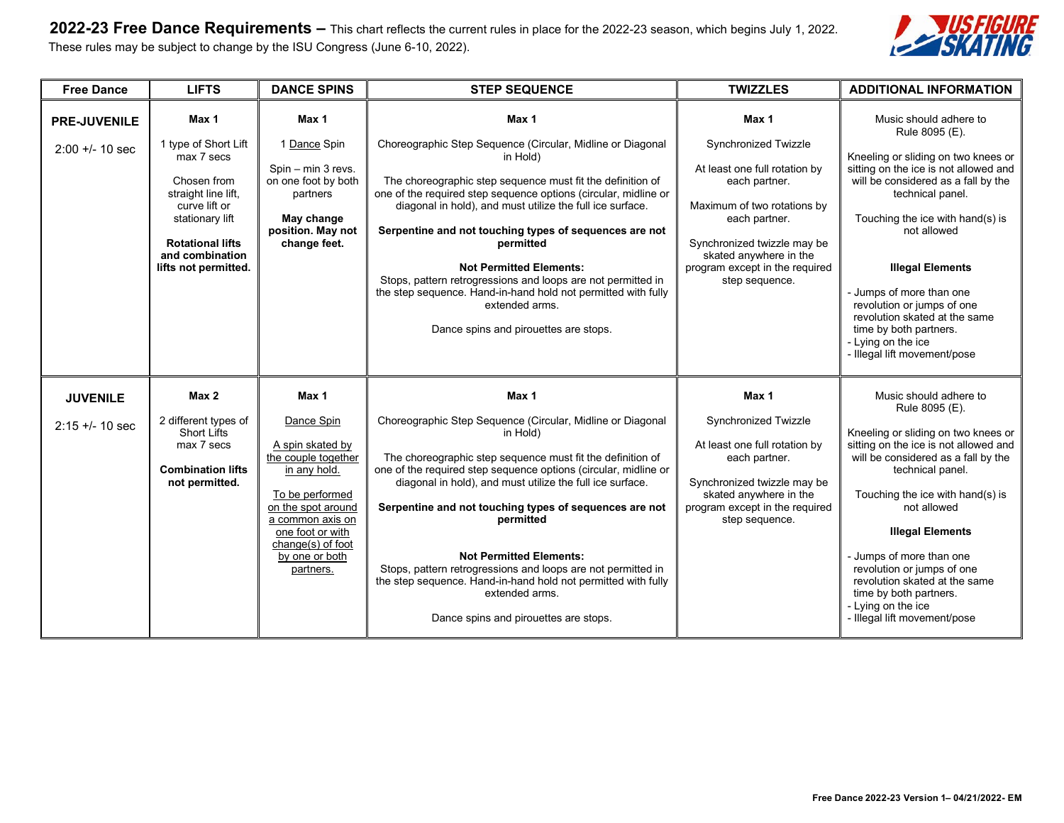**2022-23 Free Dance Requirements –** This chart reflects the current rules in place for the 2022-23 season, which begins July 1, 2022. These rules may be subject to change by the ISU Congress (June 6-10, 2022).



| <b>Free Dance</b>                      | <b>LIFTS</b>                                                                                                                                                                                | <b>DANCE SPINS</b>                                                                                                                                                                                                  | <b>STEP SEQUENCE</b>                                                                                                                                                                                                                                                                                                                                                                                                                                                                                                                                                               | <b>TWIZZLES</b>                                                                                                                                                                                                                              | <b>ADDITIONAL INFORMATION</b>                                                                                                                                                                                                                                                                                                                                                                                                                |
|----------------------------------------|---------------------------------------------------------------------------------------------------------------------------------------------------------------------------------------------|---------------------------------------------------------------------------------------------------------------------------------------------------------------------------------------------------------------------|------------------------------------------------------------------------------------------------------------------------------------------------------------------------------------------------------------------------------------------------------------------------------------------------------------------------------------------------------------------------------------------------------------------------------------------------------------------------------------------------------------------------------------------------------------------------------------|----------------------------------------------------------------------------------------------------------------------------------------------------------------------------------------------------------------------------------------------|----------------------------------------------------------------------------------------------------------------------------------------------------------------------------------------------------------------------------------------------------------------------------------------------------------------------------------------------------------------------------------------------------------------------------------------------|
| <b>PRE-JUVENILE</b><br>$2:00 + 10$ sec | Max 1<br>1 type of Short Lift<br>max 7 secs<br>Chosen from<br>straight line lift,<br>curve lift or<br>stationary lift<br><b>Rotational lifts</b><br>and combination<br>lifts not permitted. | Max 1<br>1 Dance Spin<br>Spin - min 3 revs.<br>on one foot by both<br>partners<br>May change<br>position. May not<br>change feet.                                                                                   | Max 1<br>Choreographic Step Sequence (Circular, Midline or Diagonal<br>in Hold)<br>The choreographic step sequence must fit the definition of<br>one of the required step sequence options (circular, midline or<br>diagonal in hold), and must utilize the full ice surface.<br>Serpentine and not touching types of sequences are not<br>permitted<br><b>Not Permitted Elements:</b><br>Stops, pattern retrogressions and loops are not permitted in<br>the step sequence. Hand-in-hand hold not permitted with fully<br>extended arms.<br>Dance spins and pirouettes are stops. | Max 1<br>Synchronized Twizzle<br>At least one full rotation by<br>each partner.<br>Maximum of two rotations by<br>each partner.<br>Synchronized twizzle may be<br>skated anywhere in the<br>program except in the required<br>step sequence. | Music should adhere to<br>Rule 8095 (E).<br>Kneeling or sliding on two knees or<br>sitting on the ice is not allowed and<br>will be considered as a fall by the<br>technical panel.<br>Touching the ice with hand(s) is<br>not allowed<br><b>Illegal Elements</b><br>- Jumps of more than one<br>revolution or jumps of one<br>revolution skated at the same<br>time by both partners.<br>- Lying on the ice<br>- Illegal lift movement/pose |
| <b>JUVENILE</b><br>$2:15 + 10 sec$     | Max 2<br>2 different types of<br><b>Short Lifts</b><br>max 7 secs<br><b>Combination lifts</b><br>not permitted.                                                                             | Max 1<br>Dance Spin<br>A spin skated by<br>the couple together<br>in any hold.<br>To be performed<br>on the spot around<br>a common axis on<br>one foot or with<br>change(s) of foot<br>by one or both<br>partners. | Max 1<br>Choreographic Step Sequence (Circular, Midline or Diagonal<br>in Hold)<br>The choreographic step sequence must fit the definition of<br>one of the required step sequence options (circular, midline or<br>diagonal in hold), and must utilize the full ice surface.<br>Serpentine and not touching types of sequences are not<br>permitted<br><b>Not Permitted Elements:</b><br>Stops, pattern retrogressions and loops are not permitted in<br>the step sequence. Hand-in-hand hold not permitted with fully<br>extended arms.<br>Dance spins and pirouettes are stops. | Max 1<br>Synchronized Twizzle<br>At least one full rotation by<br>each partner.<br>Synchronized twizzle may be<br>skated anywhere in the<br>program except in the required<br>step sequence.                                                 | Music should adhere to<br>Rule 8095 (E).<br>Kneeling or sliding on two knees or<br>sitting on the ice is not allowed and<br>will be considered as a fall by the<br>technical panel.<br>Touching the ice with hand(s) is<br>not allowed<br><b>Illegal Elements</b><br>- Jumps of more than one<br>revolution or jumps of one<br>revolution skated at the same<br>time by both partners.<br>- Lying on the ice<br>- Illegal lift movement/pose |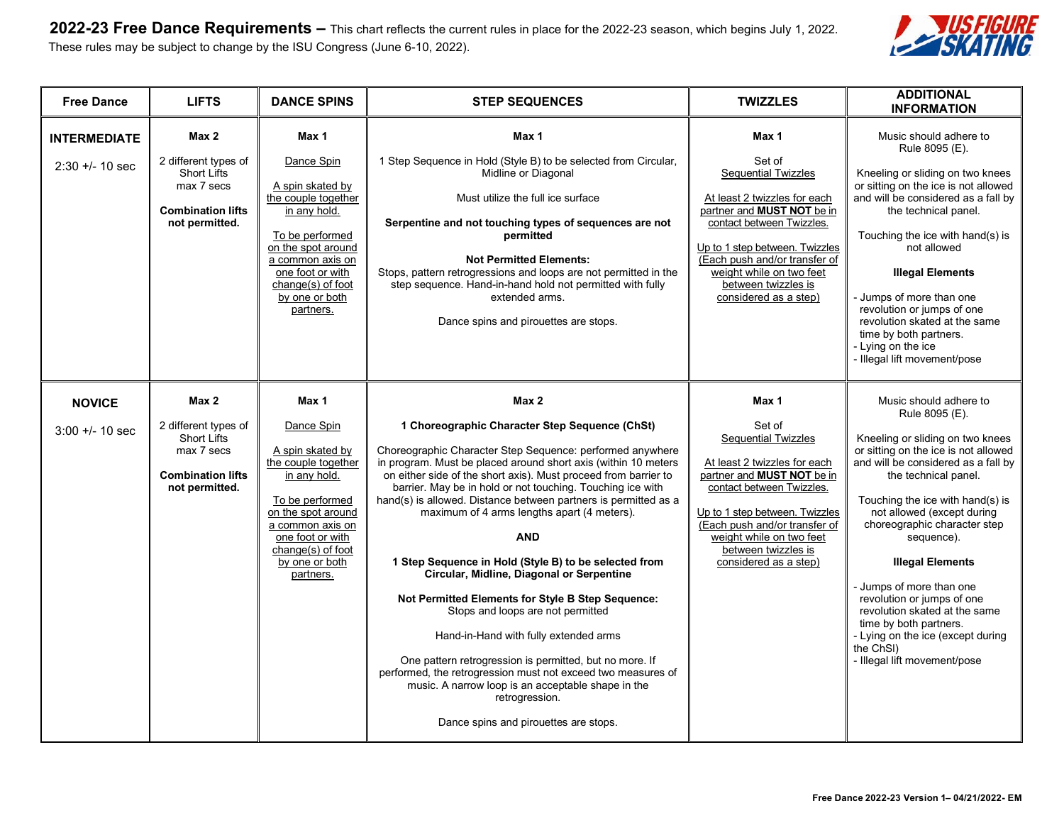**2022-23 Free Dance Requirements –** This chart reflects the current rules in place for the 2022-23 season, which begins July 1, 2022. These rules may be subject to change by the ISU Congress (June 6-10, 2022).



| <b>Free Dance</b>                      | <b>LIFTS</b>                                                                                                    | <b>DANCE SPINS</b>                                                                                                                                                                                                  | <b>TWIZZLES</b><br><b>STEP SEQUENCES</b>                                                                                                                                                                                                                                                                                                                                                                                                                                                                                                                                                                                                                                                                                                                                                                                                                                                                                                     |                                                                                                                                                                                                                                                                                                | <b>ADDITIONAL</b><br><b>INFORMATION</b>                                                                                                                                                                                                                                                                                                                                                                                                                                                                                               |
|----------------------------------------|-----------------------------------------------------------------------------------------------------------------|---------------------------------------------------------------------------------------------------------------------------------------------------------------------------------------------------------------------|----------------------------------------------------------------------------------------------------------------------------------------------------------------------------------------------------------------------------------------------------------------------------------------------------------------------------------------------------------------------------------------------------------------------------------------------------------------------------------------------------------------------------------------------------------------------------------------------------------------------------------------------------------------------------------------------------------------------------------------------------------------------------------------------------------------------------------------------------------------------------------------------------------------------------------------------|------------------------------------------------------------------------------------------------------------------------------------------------------------------------------------------------------------------------------------------------------------------------------------------------|---------------------------------------------------------------------------------------------------------------------------------------------------------------------------------------------------------------------------------------------------------------------------------------------------------------------------------------------------------------------------------------------------------------------------------------------------------------------------------------------------------------------------------------|
| <b>INTERMEDIATE</b><br>$2:30 + 10 sec$ | Max 2<br>2 different types of<br><b>Short Lifts</b><br>max 7 secs<br><b>Combination lifts</b><br>not permitted. | Max 1<br>Dance Spin<br>A spin skated by<br>the couple together<br>in any hold.<br>To be performed<br>on the spot around<br>a common axis on<br>one foot or with<br>change(s) of foot<br>by one or both<br>partners. | Max 1<br>1 Step Sequence in Hold (Style B) to be selected from Circular,<br>Midline or Diagonal<br>Must utilize the full ice surface<br>Serpentine and not touching types of sequences are not<br>permitted<br><b>Not Permitted Elements:</b><br>Stops, pattern retrogressions and loops are not permitted in the<br>step sequence. Hand-in-hand hold not permitted with fully<br>extended arms.<br>Dance spins and pirouettes are stops.                                                                                                                                                                                                                                                                                                                                                                                                                                                                                                    | Max 1<br>Set of<br><b>Sequential Twizzles</b><br>At least 2 twizzles for each<br>partner and MUST NOT be in<br>contact between Twizzles.<br>Up to 1 step between. Twizzles<br>(Each push and/or transfer of<br>weight while on two feet<br>between twizzles is<br>considered as a step)        | Music should adhere to<br>Rule 8095 (E).<br>Kneeling or sliding on two knees<br>or sitting on the ice is not allowed<br>and will be considered as a fall by<br>the technical panel.<br>Touching the ice with hand(s) is<br>not allowed<br><b>Illegal Elements</b><br>- Jumps of more than one<br>revolution or jumps of one<br>revolution skated at the same<br>time by both partners.<br>- Lying on the ice<br>- Illegal lift movement/pose                                                                                          |
| <b>NOVICE</b><br>$3:00 +/- 10$ sec     | Max 2<br>2 different types of<br>Short Lifts<br>max 7 secs<br><b>Combination lifts</b><br>not permitted.        | Max 1<br>Dance Spin<br>A spin skated by<br>the couple together<br>in any hold.<br>To be performed<br>on the spot around<br>a common axis on<br>one foot or with<br>change(s) of foot<br>by one or both<br>partners. | Max 2<br>1 Choreographic Character Step Sequence (ChSt)<br>Choreographic Character Step Sequence: performed anywhere<br>in program. Must be placed around short axis (within 10 meters<br>on either side of the short axis). Must proceed from barrier to<br>barrier. May be in hold or not touching. Touching ice with<br>hand(s) is allowed. Distance between partners is permitted as a<br>maximum of 4 arms lengths apart (4 meters).<br><b>AND</b><br>1 Step Sequence in Hold (Style B) to be selected from<br>Circular, Midline, Diagonal or Serpentine<br>Not Permitted Elements for Style B Step Sequence:<br>Stops and loops are not permitted<br>Hand-in-Hand with fully extended arms<br>One pattern retrogression is permitted, but no more. If<br>performed, the retrogression must not exceed two measures of<br>music. A narrow loop is an acceptable shape in the<br>retrogression.<br>Dance spins and pirouettes are stops. | Max 1<br>Set of<br><b>Sequential Twizzles</b><br>At least 2 twizzles for each<br>partner and <b>MUST NOT</b> be in<br>contact between Twizzles.<br>Up to 1 step between. Twizzles<br>(Each push and/or transfer of<br>weight while on two feet<br>between twizzles is<br>considered as a step) | Music should adhere to<br>Rule 8095 (E).<br>Kneeling or sliding on two knees<br>or sitting on the ice is not allowed<br>and will be considered as a fall by<br>the technical panel.<br>Touching the ice with hand(s) is<br>not allowed (except during<br>choreographic character step<br>sequence).<br><b>Illegal Elements</b><br>- Jumps of more than one<br>revolution or jumps of one<br>revolution skated at the same<br>time by both partners.<br>- Lying on the ice (except during<br>the ChSI)<br>- Illegal lift movement/pose |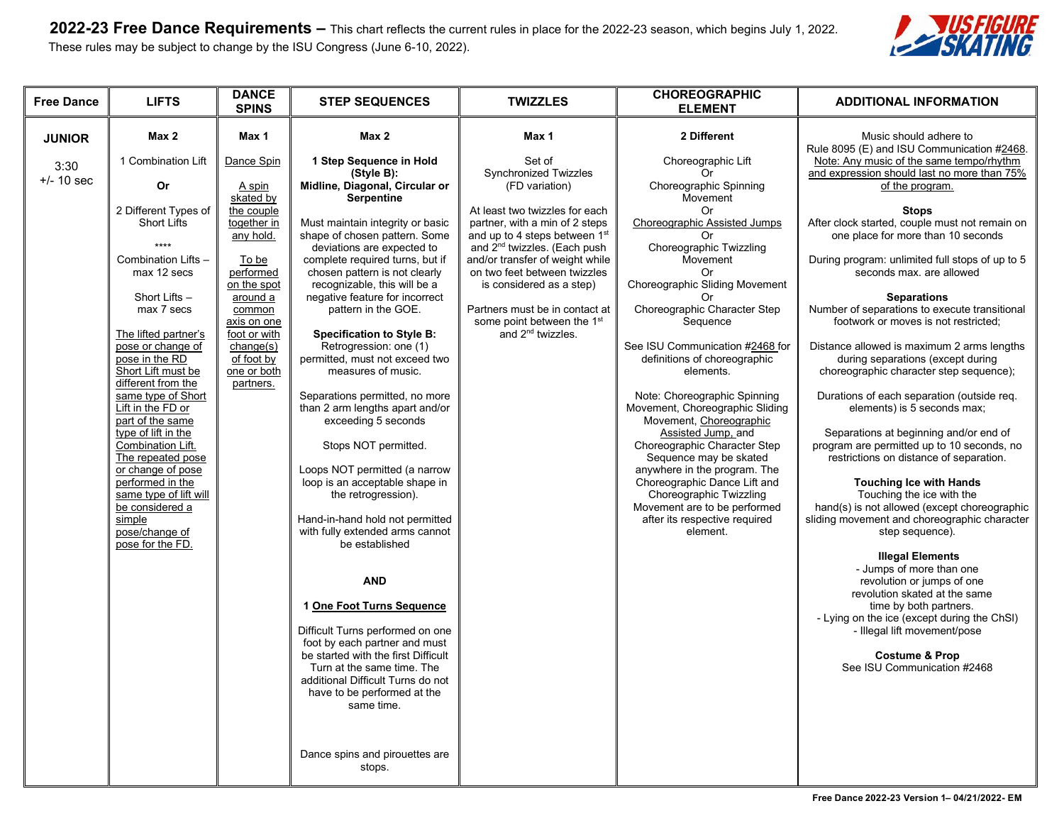

| <b>Free Dance</b>                     | <b>LIFTS</b>                                                                                                                                                                                                                                                                                                                                                                                                                                                                                                                                  | <b>DANCE</b><br><b>SPINS</b>                                                                                                                                                                                                          | <b>STEP SEQUENCES</b>                                                                                                                                                                                                                                                                                                                                                                                                                                                                                                                                                                                                                                                                                                                                                                                                                                                                                                                                                                                                                                                    | <b>TWIZZLES</b>                                                                                                                                                                                                                                                                                                                                                                                                                | <b>CHOREOGRAPHIC</b><br><b>ELEMENT</b>                                                                                                                                                                                                                                                                                                                                                                                                                                                                                                                                                                                                                                                            | <b>ADDITIONAL INFORMATION</b>                                                                                                                                                                                                                                                                                                                                                                                                                                                                                                                                                                                                                                                                                                                                                                                                                                                                                                                                                                                                                                                                                                                                                                                                                                                                                       |
|---------------------------------------|-----------------------------------------------------------------------------------------------------------------------------------------------------------------------------------------------------------------------------------------------------------------------------------------------------------------------------------------------------------------------------------------------------------------------------------------------------------------------------------------------------------------------------------------------|---------------------------------------------------------------------------------------------------------------------------------------------------------------------------------------------------------------------------------------|--------------------------------------------------------------------------------------------------------------------------------------------------------------------------------------------------------------------------------------------------------------------------------------------------------------------------------------------------------------------------------------------------------------------------------------------------------------------------------------------------------------------------------------------------------------------------------------------------------------------------------------------------------------------------------------------------------------------------------------------------------------------------------------------------------------------------------------------------------------------------------------------------------------------------------------------------------------------------------------------------------------------------------------------------------------------------|--------------------------------------------------------------------------------------------------------------------------------------------------------------------------------------------------------------------------------------------------------------------------------------------------------------------------------------------------------------------------------------------------------------------------------|---------------------------------------------------------------------------------------------------------------------------------------------------------------------------------------------------------------------------------------------------------------------------------------------------------------------------------------------------------------------------------------------------------------------------------------------------------------------------------------------------------------------------------------------------------------------------------------------------------------------------------------------------------------------------------------------------|---------------------------------------------------------------------------------------------------------------------------------------------------------------------------------------------------------------------------------------------------------------------------------------------------------------------------------------------------------------------------------------------------------------------------------------------------------------------------------------------------------------------------------------------------------------------------------------------------------------------------------------------------------------------------------------------------------------------------------------------------------------------------------------------------------------------------------------------------------------------------------------------------------------------------------------------------------------------------------------------------------------------------------------------------------------------------------------------------------------------------------------------------------------------------------------------------------------------------------------------------------------------------------------------------------------------|
| <b>JUNIOR</b><br>3:30<br>$+/- 10$ sec | Max 2<br>1 Combination Lift<br>Or<br>2 Different Types of<br><b>Short Lifts</b><br>****<br>Combination Lifts -<br>max 12 secs<br>Short Lifts -<br>max 7 secs<br>The lifted partner's<br>pose or change of<br>pose in the RD<br>Short Lift must be<br>different from the<br>same type of Short<br>Lift in the FD or<br>part of the same<br>type of lift in the<br>Combination Lift.<br>The repeated pose<br>or change of pose<br>performed in the<br>same type of lift will<br>be considered a<br>simple<br>pose/change of<br>pose for the FD. | Max 1<br>Dance Spin<br>A spin<br>skated by<br>the couple<br>together in<br>any hold.<br>To be<br>performed<br>on the spot<br>around a<br>common<br>axis on one<br>foot or with<br>change(s)<br>of foot by<br>one or both<br>partners. | Max 2<br>1 Step Sequence in Hold<br>(Style B):<br>Midline, Diagonal, Circular or<br><b>Serpentine</b><br>Must maintain integrity or basic<br>shape of chosen pattern. Some<br>deviations are expected to<br>complete required turns, but if<br>chosen pattern is not clearly<br>recognizable, this will be a<br>negative feature for incorrect<br>pattern in the GOE.<br><b>Specification to Style B:</b><br>Retrogression: one (1)<br>permitted, must not exceed two<br>measures of music.<br>Separations permitted, no more<br>than 2 arm lengths apart and/or<br>exceeding 5 seconds<br>Stops NOT permitted.<br>Loops NOT permitted (a narrow<br>loop is an acceptable shape in<br>the retrogression).<br>Hand-in-hand hold not permitted<br>with fully extended arms cannot<br>be established<br><b>AND</b><br>1 One Foot Turns Sequence<br>Difficult Turns performed on one<br>foot by each partner and must<br>be started with the first Difficult<br>Turn at the same time. The<br>additional Difficult Turns do not<br>have to be performed at the<br>same time. | Max 1<br>Set of<br><b>Synchronized Twizzles</b><br>(FD variation)<br>At least two twizzles for each<br>partner, with a min of 2 steps<br>and up to 4 steps between 1st<br>and 2 <sup>nd</sup> twizzles. (Each push<br>and/or transfer of weight while<br>on two feet between twizzles<br>is considered as a step)<br>Partners must be in contact at<br>some point between the 1 <sup>st</sup><br>and 2 <sup>nd</sup> twizzles. | 2 Different<br>Choreographic Lift<br>Choreographic Spinning<br>Movement<br>Or<br><b>Choreographic Assisted Jumps</b><br>Or<br>Choreographic Twizzling<br>Movement<br>Or<br>Choreographic Sliding Movement<br>Or<br>Choreographic Character Step<br>Sequence<br>See ISU Communication #2468 for<br>definitions of choreographic<br>elements.<br>Note: Choreographic Spinning<br>Movement, Choreographic Sliding<br>Movement, Choreographic<br>Assisted Jump, and<br>Choreographic Character Step<br>Sequence may be skated<br>anywhere in the program. The<br>Choreographic Dance Lift and<br>Choreographic Twizzling<br>Movement are to be performed<br>after its respective required<br>element. | Music should adhere to<br>Rule 8095 (E) and ISU Communication #2468.<br>Note: Any music of the same tempo/rhythm<br>and expression should last no more than 75%<br>of the program.<br><b>Stops</b><br>After clock started, couple must not remain on<br>one place for more than 10 seconds<br>During program: unlimited full stops of up to 5<br>seconds max, are allowed<br><b>Separations</b><br>Number of separations to execute transitional<br>footwork or moves is not restricted;<br>Distance allowed is maximum 2 arms lengths<br>during separations (except during<br>choreographic character step sequence);<br>Durations of each separation (outside req.<br>elements) is 5 seconds max;<br>Separations at beginning and/or end of<br>program are permitted up to 10 seconds, no<br>restrictions on distance of separation.<br><b>Touching Ice with Hands</b><br>Touching the ice with the<br>hand(s) is not allowed (except choreographic<br>sliding movement and choreographic character<br>step sequence).<br><b>Illegal Elements</b><br>- Jumps of more than one<br>revolution or jumps of one<br>revolution skated at the same<br>time by both partners.<br>- Lying on the ice (except during the ChSI)<br>- Illegal lift movement/pose<br><b>Costume &amp; Prop</b><br>See ISU Communication #2468 |
|                                       |                                                                                                                                                                                                                                                                                                                                                                                                                                                                                                                                               |                                                                                                                                                                                                                                       | Dance spins and pirouettes are<br>stops.                                                                                                                                                                                                                                                                                                                                                                                                                                                                                                                                                                                                                                                                                                                                                                                                                                                                                                                                                                                                                                 |                                                                                                                                                                                                                                                                                                                                                                                                                                |                                                                                                                                                                                                                                                                                                                                                                                                                                                                                                                                                                                                                                                                                                   |                                                                                                                                                                                                                                                                                                                                                                                                                                                                                                                                                                                                                                                                                                                                                                                                                                                                                                                                                                                                                                                                                                                                                                                                                                                                                                                     |